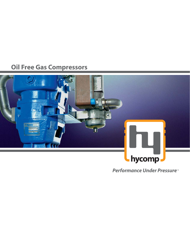## **Oil Free Gas Compressors**



**Performance Under Pressure**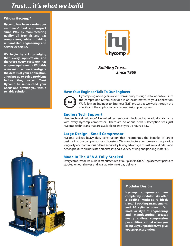### *Trust... it's what we build*

#### **Who is Hycomp?**

**Hycomp has been earning our customers' trust and respect since 1969 by manufacturing quality oil free air and gas compressors, while providing unparalleled engineering and service expertise.** 

**We begin by acknowledging that every application, and therefore every customer, has unique requirements. With this open mind set we investigate the details of your application, allowing us to solve problems before they occur. Trust Hycomp to understand your needs and provide you with a reliable solution.**



*Building Trust... Since 1969*

#### **Have Your Engineer Talk To Our Engineer**



Hycomp engineers get involved from inquiry through installation to ensure the compressor system provided is an exact match to your application. We follow an Engineer-to-Engineer (E2E) process as we work through the specifics of the application and as we design your system.

#### **Endless Tech Support**

Need technical guidance? Unlimited tech support is included at no additional charge with every Hycomp compressor. There are no annual tech subscription fees, just Hycomp technicians that are available to assist you 24 hours a day.

#### **Large Design - Small Compressor**

Hycomp utilizes heavy duty construction that incorporates the benefits of larger designs into our compressors and boosters. We manufacture compressors that provide longevity and continuous oil free service by taking advantage of cast iron cylinders and heads, pressure oil lubricated crankcases and a variety of ring and packing materials.

#### **Made In The USA & Fully Stocked**

Every compressor we build is manufactured at our plant in Utah. Replacement parts are stocked on our shelves and available for next day delivery.



#### **Modular Design**

**Hycomp compressors are completely modular. We offer 2 cooling methods, 9 block sizes, 18 packing arrangements and 20 cylinder sizes. Our modular style of engineering and manufacturing creates nearly endless compression possibilities, so that when you bring us your problem, we give you an exact solution.**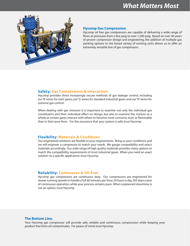

#### **Hycomp Gas Compression**

Hycomp oil free gas compressors are capable of delivering a wide range of flows at pressures from a few psig to over 1,500 psig. Based on over 40 years of proven compressor design and engineering, the addition of multiple gas packing options to the broad variety of existing units allows us to offer an extremely versatile line of gas compressors.

#### **Safety: Gas Containment & Interaction**

Hycomp provides three increasingly secure methods of gas leakage control, including our 'B' series for inert gases, our 'G' series for standard industrial gases and our 'H' series for extreme gas control.

When dealing with gas mixtures it is important to examine not only the individual gas constituents and their individual effect on design, but also to examine the mixture as a whole as certain gases interact with others to become more corrosive, toxic or flammable than in their pure form. For the assurance that your system is safe, trust Hycomp

#### **Flexibility: Materials & Conditions**

Our engineered solutions are flexible to your requirements. Bring us your conditions and we will engineer a compressor to match your needs. We gauge compatibility and select materials accordingly. Our wide range of high quality materials provides many options to match the compatibility requirements of most industrial gases. When you need an exact solution to a specific application, trust Hycomp.

#### **Reliability: Continuous & Oil Free**

Hycomp gas compressors are continuous duty. Our compressors are engineered for slower running speeds to handle a full 60 minutes per hour, 24 hours a day, 365 days a year of continuous operation, while your process remains pure. When unplanned downtime is not an option, trust Hycomp.

#### **The Bottom Line.**

Your Hycomp gas compressor will provide safe, reliable and continuous compression while keeping your product free from oil contaminates. For peace of mind, trust Hycomp.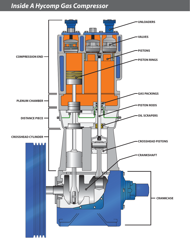# *Inside A Hycomp Gas Compressor*

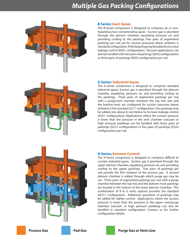## *Multiple Gas Packing Configurations*



#### **B Series: Inert Gases**

The B-Series compressor is designed to compress air or nonhazardous/non-contaminating gases. Suction gas is plumbed through the plenum chamber, equalizing pressure on, and providing cooling to, the packings. Two pairs of segmented packings per rod, set for suction pressures above ambient, is standard configuration. A third packing may be added to increase leakage control (B301 configuration). Vacuum applications can also be handled with two pairs of packings (B202 configuration) or three pairs of packings (B302 configuration) per rod.



#### **G Series: Industrial Gases**

The G-Series compressor is designed to compress standard industrial gases. Suction gas is plumbed through the plenum chamber, equalizing pressure on, and providing cooling to, the packings. Three pairs of segmented packings per rod, with a purge/vent chamber between the top two sets and the bottom-most set, configured for suction pressures above ambient, is the standard G211 configuration. Two packings may be added, one above & one below, to increase leakage control (G321 configuration). Applications where the suction pressure is lower than the pressure in the vent chamber (vacuum or high pressure padding) can be handled with three pairs of packings (G212 configuration) or five pairs of packings (G322 configuration) per rod.



#### **H Series: Extreme Control**

The H-Series compressor is designed to compress difficult to contain industrial gases. Suction gas is plumbed through the upper plenum chamber, equalizing pressure on, and providing cooling to, the upper packings. Two pairs of packings per rod provide the first isolation of the process gas. A second plenum chamber is added, through which purge gas may be run. Three pairs of segmented packings per rod, with a purge chamber between the top two and the bottom-most packings are located in the bottom of the lower plenum chamber. This combination of B & G series options provides the standard H2211 configuration. Additional quantities of packings may be added for tighter control. Applications where the suction pressure is lower than the pressure in the upper vent/purge chamber (vacuum or high pressure padding) can also be handled in standard configuration. Contact us for further configuration details.



**Process Gas Case Purge Gas Or Vent Line**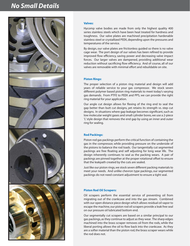### *No Small Details*



#### **Valves:**

Hycomp valve bodies are made from only the highest quality 400 series stainless steels which have been heat treated for hardness and toughness. Our valve plates are machined precipitation hardenable stainless steel or crystallized PEEK, depending upon the pressures and temperatures of the service.

By design, our valve plates are frictionless guided so there is no valve cage wear. The port design of our valves has been refined to provide improved flow efficiency, saving power and decreasing valve impact forces. Our larger valves are dampened, providing additional wear reduction without sacrificing flow efficiency. And of course, all of our valves are removable with minimal effort and rebuildable on site.

#### **Piston Rings:**

The proper selection of a piston ring material and design will add years of reliable service to your gas compressor. We stock seven different polymer based piston ring materials to meet today's varying gas demands. From PTFE to PEEK and PPS, we can provide the right ring material for your application.

Our angle cut design allows for flexing of the ring end to seal the gap better than butt cut designs, yet retains its strength vs. step cut designs. In situations where gap leakage becomes significant, such as low molecular weight gases and small cylinder bores, we use a 2-piece 'L' style design that removes the end gap by using an inner and outer ring for sealing.

#### **Rod Packings:**

Piston rod gas packings perform the critical function of containing the gas in the compressor, while providing pressure on the underside of the pistons to balance the rod loads. Our tangentially cut segmented packings are free floating and self adjusting for long wear life. The design inherently continues to seal as the packing wears. A pair of packings are pinned together at the proper rotational offset to ensure that the leakpath created by the cuts are sealed.

Just like our piston rings, we stock seven different packing materials to meet your needs. And unlike chevron type packings, our segmented packings do not need constant adjustment to ensure a tight seal.

#### **Piston Rod Oil Scrapers:**

Oil scrapers perform the essential service of preventing oil from migrating out of the crankcase and into the gas stream. Combined with our open distance piece design which allows residual oil vapor to escape the machine, our piston rod oil scrapers provide a leak free seal on our pressure oil lubricated bottom end.

Our segmentally cut scrapers are based on a similar principal to our gas packings, as they continue to adjust as they wear. The sharp edges machined into the brass scraper removes oil from the rods, while the liberal porting allows the oil to flow back into the crankcase. As they are a softer material than the piston rod, the brass scraper wears while the rod does not.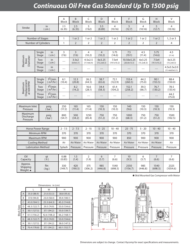# *Continuous Oil Free Gas Standard Up To 1500 psig*

|                                            |                 | A<br><b>Block</b>                    | <sub>B</sub><br><b>Block</b> | C<br><b>Block</b>  | D<br><b>Block</b>        | Ε<br>Block               | F<br><b>Block</b>    | G<br><b>Block</b>         | H<br><b>Block</b>    | $\vee$<br><b>Block</b>  |                                                 |
|--------------------------------------------|-----------------|--------------------------------------|------------------------------|--------------------|--------------------------|--------------------------|----------------------|---------------------------|----------------------|-------------------------|-------------------------------------------------|
| in<br><b>Stroke</b><br>(cm )               |                 | 2.5<br>(6.35)                        | 2.5<br>(6.35)                | 3<br>(7.62)        | 3.5<br>(8.89)            | 4<br>(10.16)             | 5<br>(12.7)          | $\overline{4}$<br>(10.16) | 5<br>(12.7)          | 4<br>(10.16)            |                                                 |
|                                            |                 |                                      |                              |                    |                          |                          |                      |                           |                      |                         |                                                 |
| Number of Stages                           |                 |                                      | 1                            | 1 or 2             | 1 or 2                   | 1 or 2                   | 1 or 2               | 1 or 2                    | 1 or 2               | 1 or 2                  | 1, 2 or 3                                       |
| Number of Cylinders                        |                 |                                      | $\mathbf{1}$                 | $\overline{2}$     | $\overline{2}$           | $\overline{2}$           | $\overline{2}$       | $\overline{2}$            | $\overline{2}$       | $\overline{2}$          | 4                                               |
|                                            |                 |                                      |                              |                    |                          |                          |                      |                           |                      |                         |                                                 |
|                                            | Single<br>Stage | in<br>( cm )                         | 3<br>(7.6)                   | 3<br>(7.6)         | $\overline{4}$<br>(10.2) | $\overline{4}$<br>(10.2) | 5.75<br>(14.6)       | 7.5<br>(19.1)             | 4.5<br>(11.4)        | 5.75<br>(14.6)          | 4.5<br>(11.4)                                   |
| Maximum<br>Diameter<br>Bore                | Two<br>Stage    | in<br>(cm )                          | $---$                        | 3.5x2<br>(8.9x5.1) | 4.5x2.5<br>(11.4x6.4)    | 6x3.25<br>(15.2x8.3)     | 7.5x4<br>(19.1x10.2) | 10.56x5.25<br>(26.8x13.3) | 6x3.25<br>(15.2x8.3) | 7.5x4<br>(19.1x10.2)    | 6x3.25<br>(15.2x8.3)                            |
|                                            | Three<br>Stage  | in<br>(cm )                          | $---$                        | $---$              | $---$                    | $---$                    | $---$                | $---$                     | $---$                | $---$                   | 4.5x3.5x2.0<br>(11.4x8.9x5.1)                   |
|                                            |                 |                                      |                              |                    |                          |                          |                      |                           |                      |                         |                                                 |
|                                            | Single<br>Stage | $f^3/min$<br>(m <sup>3</sup> /hr)    | 6.1<br>(10.4)                | 12.3<br>(20.8)     | 26.2<br>(44.5)           | 38.7<br>(65.6)           | 72.1<br>(122.9)      | 153.4<br>(260.5)          | 44.2<br>(75.0)       | 90.1<br>(153.5)         | 88.4<br>(150.0)                                 |
| Displacement<br>at 600 RPM<br>Maximum      | Two<br>Stage    | $f^3/min$<br>(m <sup>3</sup> /hr)    | $---$                        | 8.2<br>(14.2)      | 16.6<br>(28.1)           | 34.4<br>(58.3)           | 61.4<br>(104.2)      | 152.1<br>(258.2)          | 39.3<br>(66.7)       | 76.7<br>(130.2)         | 78.5<br>(133.4)                                 |
|                                            | Three<br>Stage  | $f^3/m$ in<br>(m <sup>3</sup> /hr)   | $---$                        | $---$              | $---$                    | $---$                    | $---$                | $---$                     | $---$                | $---$                   | 44.2<br>(75.0)                                  |
|                                            |                 |                                      |                              |                    |                          |                          |                      |                           |                      |                         |                                                 |
| Maximum Inlet<br>psig<br>Pressure<br>(bar) |                 |                                      | 250<br>(17.2)                | 165<br>(11.4)      | 165<br>(11.4)            | 150<br>(10.3)            | 150<br>(10.3)        | 140<br>(9.6)              | 150<br>(10.3)        | 150<br>(10.3)           | 150<br>(10.3)                                   |
| Maximum<br>Discharge<br>Pressure           |                 | psig<br>(bar)                        |                              | 500<br>(34.2)      | 1250<br>(85.4)           | 750<br>(51.2)            | 750<br>(51.2)        | 1000<br>(68.3)            | 750<br>(51.2)        | 750<br>(51.2)           | 1500<br>(102.5)                                 |
|                                            |                 |                                      |                              |                    |                          |                          |                      |                           |                      |                         |                                                 |
| Horse Power Range                          |                 |                                      | $2 - 7.5$                    | $2 - 7.5$          | $2 - 15$                 | $5 - 25$                 | $10 - 40$            | $25 - 75$                 | $5 - 20$             | $10 - 40$               | $10 - 40$                                       |
| Minimum RPM                                |                 | 370                                  | 370                          | 370                | 370                      | 370                      | 370                  | 370                       | 370                  | 370                     |                                                 |
| Maximum RPM                                |                 |                                      | 900                          | 900                | 900                      | 900                      | 900                  | 850                       | 900                  | 900                     | 900                                             |
| <b>Cooling Method</b>                      |                 | Air                                  | Air/Water                    | Air/Water          | Air/Water                | Air/Water                | Air/Water            | Air/Water                 | Air/Water            | Air                     |                                                 |
| <b>Lubrication Method</b>                  |                 |                                      | Splash                       | Pressure           | Pressure                 | Pressure                 | Pressure             | Pressure                  | Pressure             | Pressure                | Pressure                                        |
|                                            |                 |                                      |                              |                    |                          |                          |                      |                           |                      |                         |                                                 |
| Oil<br>Capacity                            |                 | qt<br>$(\dot{\mathsf{I}}\mathsf{t})$ | 0.88<br>(0.83)               | 1.5<br>(1.4)       | $\overline{2}$<br>(1.9)  | 6<br>(5.7)               | 7<br>(6.6)           | 10<br>(9.5)               | 6<br>(5.7)           | $\overline{7}$<br>(6.6) | $\overline{7}$<br>(6.6)                         |
| Approx.<br>Shipping<br>Weight $\star$      | Ibs<br>(kg)     |                                      | 330<br>(149.7)               | 420<br>(190.5)     | 375<br>(306.2)           | 985<br>(446.8)           | 1540<br>(698.5)      | 2550<br>(1156.7)          | 985<br>(446.8)       | 1540<br>(698.5)         | 2325<br>(1054.6)                                |
|                                            |                 |                                      |                              |                    |                          |                          |                      |                           |                      |                         | <b>★ Skid Mounted Gas Compressor with Motor</b> |

|                    |   |              | Dimensions: in (cm) |              | M                        | ---------                                                                                                                                                                |
|--------------------|---|--------------|---------------------|--------------|--------------------------|--------------------------------------------------------------------------------------------------------------------------------------------------------------------------|
|                    |   |              | W                   | Н            | 曍<br>目                   | <b>HAIR TIME ADD</b>                                                                                                                                                     |
| <b>Block Sizes</b> | A | 35.0 (88.9)  | 21.0(53.3)          | 38.8 (95.6)  |                          | <b>Famoutininamininament</b><br><b><i><u>CONTACT AND ANNOUNCEMENT OF THE CONTACT OF THE CONTACT OF THE CONTACT OF THE CONTACT OF THE CONTACT OF THE CON</u></i></b><br>円 |
|                    | B | 37.0 (94.0)  | 23.0 (58.4)         | 39.4 (100.1) | <b>CB</b>                |                                                                                                                                                                          |
|                    | C | 41.0 (104.1) | 25.3(64.3)          | 45.2 (114.8) |                          |                                                                                                                                                                          |
|                    | D | 48.3 (122.7) | 29.5 (74.9)         | 53.0 (134.6) |                          |                                                                                                                                                                          |
|                    | F | 50.1 (127.3) | 37.1 (94.2)         | 55.0 (139.7) | <b>Normal</b>            |                                                                                                                                                                          |
|                    |   | 61.5(156.2)  | 42.6 (108.2)        | 66.2 (168.1) | $\overline{\phantom{a}}$ |                                                                                                                                                                          |
|                    | G | 48.3 (122.7) | 29.5 (74.9)         | 53.0 (134.6) |                          |                                                                                                                                                                          |
|                    | H | 50.1 (127.3) | 37.1 (94.2)         | 58.0 (147.3) |                          | ര₹                                                                                                                                                                       |
|                    | V | 70.4 (178.8) | 37.1 (94.2)         | 60.1(152.7)  | W                        |                                                                                                                                                                          |





Dimensions are subject to change. Contact Hycomp for exact specifications and measurements.